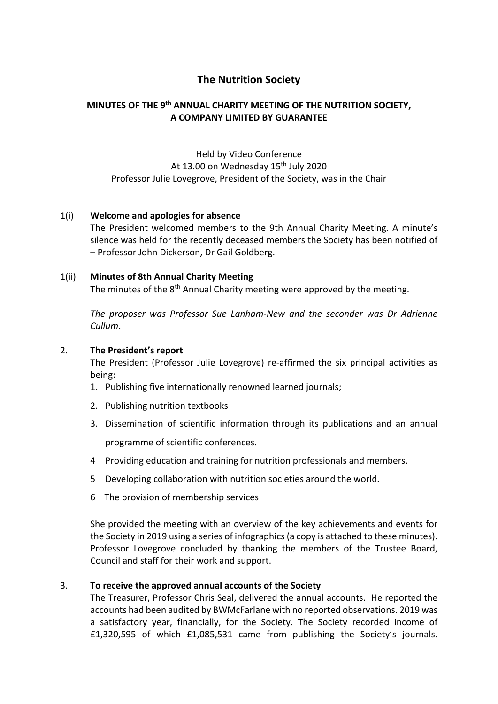# **The Nutrition Society**

## **MINUTES OF THE 9th ANNUAL CHARITY MEETING OF THE NUTRITION SOCIETY, A COMPANY LIMITED BY GUARANTEE**

Held by Video Conference At 13.00 on Wednesday 15<sup>th</sup> July 2020 Professor Julie Lovegrove, President of the Society, was in the Chair

### 1(i) **Welcome and apologies for absence**

The President welcomed members to the 9th Annual Charity Meeting. A minute's silence was held for the recently deceased members the Society has been notified of – Professor John Dickerson, Dr Gail Goldberg.

### 1(ii) **Minutes of 8th Annual Charity Meeting**

The minutes of the 8<sup>th</sup> Annual Charity meeting were approved by the meeting.

*The proposer was Professor Sue Lanham-New and the seconder was Dr Adrienne Cullum*.

### 2. T**he President's report**

The President (Professor Julie Lovegrove) re-affirmed the six principal activities as being:

- 1. Publishing five internationally renowned learned journals;
- 2. Publishing nutrition textbooks
- 3. Dissemination of scientific information through its publications and an annual programme of scientific conferences.
- 4 Providing education and training for nutrition professionals and members.
- 5 Developing collaboration with nutrition societies around the world.
- 6 The provision of membership services

She provided the meeting with an overview of the key achievements and events for the Society in 2019 using a series of infographics(a copy is attached to these minutes). Professor Lovegrove concluded by thanking the members of the Trustee Board, Council and staff for their work and support.

### 3. **To receive the approved annual accounts of the Society**

The Treasurer, Professor Chris Seal, delivered the annual accounts. He reported the accounts had been audited by BWMcFarlane with no reported observations. 2019 was a satisfactory year, financially, for the Society. The Society recorded income of £1,320,595 of which £1,085,531 came from publishing the Society's journals.